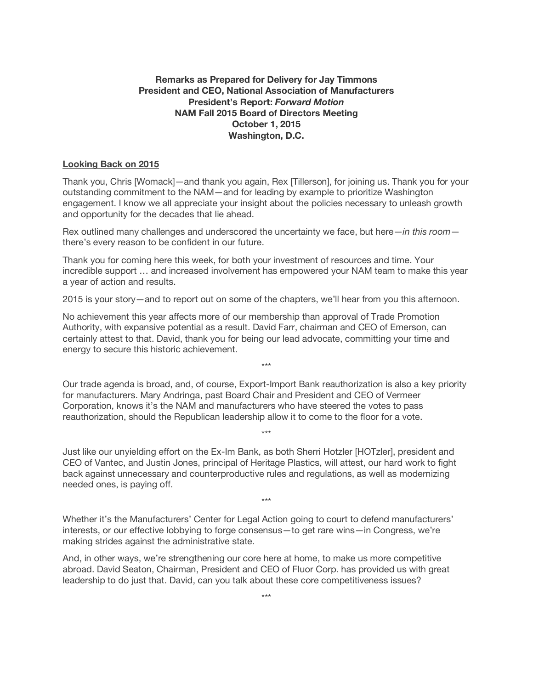## **Remarks as Prepared for Delivery for Jay Timmons President and CEO, National Association of Manufacturers President's Report:** *Forward Motion* **NAM Fall 2015 Board of Directors Meeting October 1, 2015 Washington, D.C.**

## **Looking Back on 2015**

Thank you, Chris [Womack]—and thank you again, Rex [Tillerson], for joining us. Thank you for your outstanding commitment to the NAM—and for leading by example to prioritize Washington engagement. I know we all appreciate your insight about the policies necessary to unleash growth and opportunity for the decades that lie ahead.

Rex outlined many challenges and underscored the uncertainty we face, but here—*in this room* there's every reason to be confident in our future.

Thank you for coming here this week, for both your investment of resources and time. Your incredible support … and increased involvement has empowered your NAM team to make this year a year of action and results.

2015 is your story—and to report out on some of the chapters, we'll hear from you this afternoon.

No achievement this year affects more of our membership than approval of Trade Promotion Authority, with expansive potential as a result. David Farr, chairman and CEO of Emerson, can certainly attest to that. David, thank you for being our lead advocate, committing your time and energy to secure this historic achievement.

Our trade agenda is broad, and, of course, Export-Import Bank reauthorization is also a key priority for manufacturers. Mary Andringa, past Board Chair and President and CEO of Vermeer Corporation, knows it's the NAM and manufacturers who have steered the votes to pass reauthorization, should the Republican leadership allow it to come to the floor for a vote.

\*\*\*

\*\*\*

Just like our unyielding effort on the Ex-Im Bank, as both Sherri Hotzler [HOTzler], president and CEO of Vantec, and Justin Jones, principal of Heritage Plastics, will attest, our hard work to fight back against unnecessary and counterproductive rules and regulations, as well as modernizing needed ones, is paying off.

\*\*\*

Whether it's the Manufacturers' Center for Legal Action going to court to defend manufacturers' interests, or our effective lobbying to forge consensus—to get rare wins—in Congress, we're making strides against the administrative state.

And, in other ways, we're strengthening our core here at home, to make us more competitive abroad. David Seaton, Chairman, President and CEO of Fluor Corp. has provided us with great leadership to do just that. David, can you talk about these core competitiveness issues?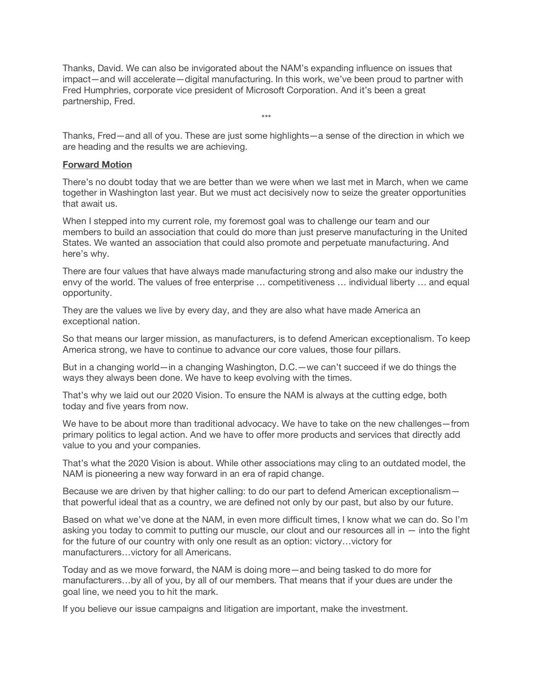Thanks, David. We can also be invigorated about the NAM's expanding influence on issues that impact—and will accelerate—digital manufacturing. In this work, we've been proud to partner with Fred Humphries, corporate vice president of Microsoft Corporation. And it's been a great partnership, Fred.

Thanks, Fred—and all of you. These are just some highlights—a sense of the direction in which we are heading and the results we are achieving.

\*\*\*

## **Forward Motion**

There's no doubt today that we are better than we were when we last met in March, when we came together in Washington last year. But we must act decisively now to seize the greater opportunities that await us.

When I stepped into my current role, my foremost goal was to challenge our team and our members to build an association that could do more than just preserve manufacturing in the United States. We wanted an association that could also promote and perpetuate manufacturing. And here's why.

There are four values that have always made manufacturing strong and also make our industry the envy of the world. The values of free enterprise … competitiveness … individual liberty … and equal opportunity.

They are the values we live by every day, and they are also what have made America an exceptional nation.

So that means our larger mission, as manufacturers, is to defend American exceptionalism. To keep America strong, we have to continue to advance our core values, those four pillars.

But in a changing world—in a changing Washington, D.C.—we can't succeed if we do things the ways they always been done. We have to keep evolving with the times.

That's why we laid out our 2020 Vision. To ensure the NAM is always at the cutting edge, both today and five years from now.

We have to be about more than traditional advocacy. We have to take on the new challenges—from primary politics to legal action. And we have to offer more products and services that directly add value to you and your companies.

That's what the 2020 Vision is about. While other associations may cling to an outdated model, the NAM is pioneering a new way forward in an era of rapid change.

Because we are driven by that higher calling: to do our part to defend American exceptionalism that powerful ideal that as a country, we are defined not only by our past, but also by our future.

Based on what we've done at the NAM, in even more difficult times, I know what we can do. So I'm asking you today to commit to putting our muscle, our clout and our resources all in — into the fight for the future of our country with only one result as an option: victory…victory for manufacturers…victory for all Americans.

Today and as we move forward, the NAM is doing more—and being tasked to do more for manufacturers…by all of you, by all of our members. That means that if your dues are under the goal line, we need you to hit the mark.

If you believe our issue campaigns and litigation are important, make the investment.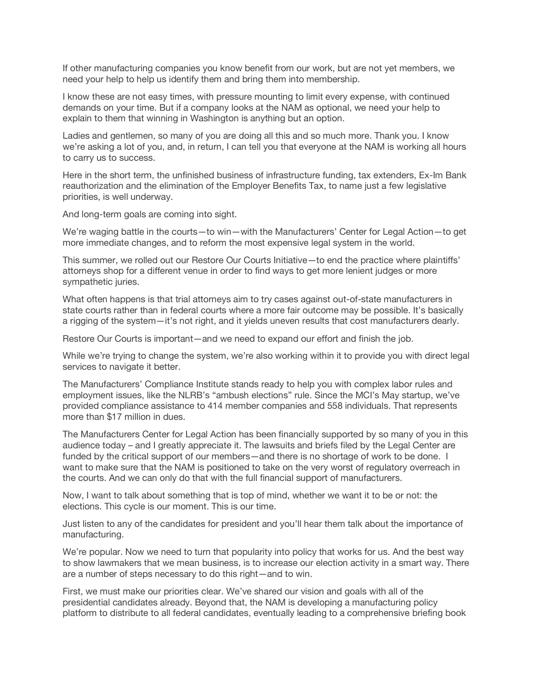If other manufacturing companies you know benefit from our work, but are not yet members, we need your help to help us identify them and bring them into membership.

I know these are not easy times, with pressure mounting to limit every expense, with continued demands on your time. But if a company looks at the NAM as optional, we need your help to explain to them that winning in Washington is anything but an option.

Ladies and gentlemen, so many of you are doing all this and so much more. Thank you. I know we're asking a lot of you, and, in return, I can tell you that everyone at the NAM is working all hours to carry us to success.

Here in the short term, the unfinished business of infrastructure funding, tax extenders, Ex-Im Bank reauthorization and the elimination of the Employer Benefits Tax, to name just a few legislative priorities, is well underway.

And long-term goals are coming into sight.

We're waging battle in the courts—to win—with the Manufacturers' Center for Legal Action—to get more immediate changes, and to reform the most expensive legal system in the world.

This summer, we rolled out our Restore Our Courts Initiative—to end the practice where plaintiffs' attorneys shop for a different venue in order to find ways to get more lenient judges or more sympathetic juries.

What often happens is that trial attorneys aim to try cases against out-of-state manufacturers in state courts rather than in federal courts where a more fair outcome may be possible. It's basically a rigging of the system—it's not right, and it yields uneven results that cost manufacturers dearly.

Restore Our Courts is important—and we need to expand our effort and finish the job.

While we're trying to change the system, we're also working within it to provide you with direct legal services to navigate it better.

The Manufacturers' Compliance Institute stands ready to help you with complex labor rules and employment issues, like the NLRB's "ambush elections" rule. Since the MCI's May startup, we've provided compliance assistance to 414 member companies and 558 individuals. That represents more than \$17 million in dues.

The Manufacturers Center for Legal Action has been financially supported by so many of you in this audience today – and I greatly appreciate it. The lawsuits and briefs filed by the Legal Center are funded by the critical support of our members—and there is no shortage of work to be done. I want to make sure that the NAM is positioned to take on the very worst of regulatory overreach in the courts. And we can only do that with the full financial support of manufacturers.

Now, I want to talk about something that is top of mind, whether we want it to be or not: the elections. This cycle is our moment. This is our time.

Just listen to any of the candidates for president and you'll hear them talk about the importance of manufacturing.

We're popular. Now we need to turn that popularity into policy that works for us. And the best way to show lawmakers that we mean business, is to increase our election activity in a smart way. There are a number of steps necessary to do this right—and to win.

First, we must make our priorities clear. We've shared our vision and goals with all of the presidential candidates already. Beyond that, the NAM is developing a manufacturing policy platform to distribute to all federal candidates, eventually leading to a comprehensive briefing book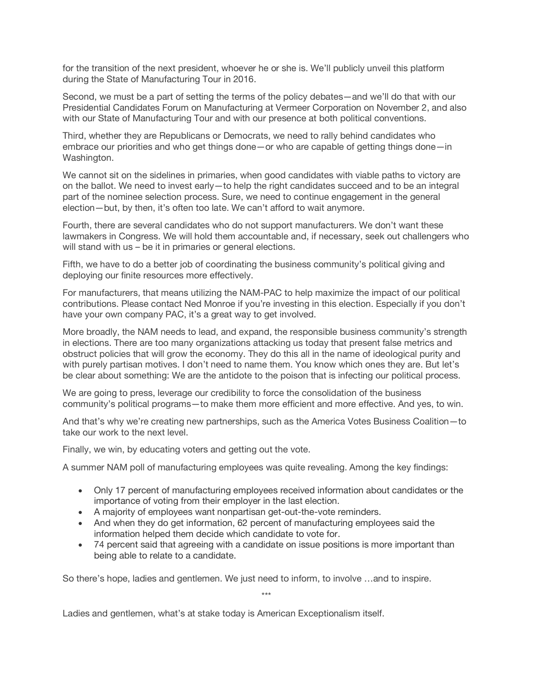for the transition of the next president, whoever he or she is. We'll publicly unveil this platform during the State of Manufacturing Tour in 2016.

Second, we must be a part of setting the terms of the policy debates—and we'll do that with our Presidential Candidates Forum on Manufacturing at Vermeer Corporation on November 2, and also with our State of Manufacturing Tour and with our presence at both political conventions.

Third, whether they are Republicans or Democrats, we need to rally behind candidates who embrace our priorities and who get things done—or who are capable of getting things done—in Washington.

We cannot sit on the sidelines in primaries, when good candidates with viable paths to victory are on the ballot. We need to invest early—to help the right candidates succeed and to be an integral part of the nominee selection process. Sure, we need to continue engagement in the general election—but, by then, it's often too late. We can't afford to wait anymore.

Fourth, there are several candidates who do not support manufacturers. We don't want these lawmakers in Congress. We will hold them accountable and, if necessary, seek out challengers who will stand with us – be it in primaries or general elections.

Fifth, we have to do a better job of coordinating the business community's political giving and deploying our finite resources more effectively.

For manufacturers, that means utilizing the NAM-PAC to help maximize the impact of our political contributions. Please contact Ned Monroe if you're investing in this election. Especially if you don't have your own company PAC, it's a great way to get involved.

More broadly, the NAM needs to lead, and expand, the responsible business community's strength in elections. There are too many organizations attacking us today that present false metrics and obstruct policies that will grow the economy. They do this all in the name of ideological purity and with purely partisan motives. I don't need to name them. You know which ones they are. But let's be clear about something: We are the antidote to the poison that is infecting our political process.

We are going to press, leverage our credibility to force the consolidation of the business community's political programs—to make them more efficient and more effective. And yes, to win.

And that's why we're creating new partnerships, such as the America Votes Business Coalition—to take our work to the next level.

Finally, we win, by educating voters and getting out the vote.

A summer NAM poll of manufacturing employees was quite revealing. Among the key findings:

- Only 17 percent of manufacturing employees received information about candidates or the importance of voting from their employer in the last election.
- A majority of employees want nonpartisan get-out-the-vote reminders.
- And when they do get information, 62 percent of manufacturing employees said the information helped them decide which candidate to vote for.
- 74 percent said that agreeing with a candidate on issue positions is more important than being able to relate to a candidate.

So there's hope, ladies and gentlemen. We just need to inform, to involve …and to inspire.

\*\*\*

Ladies and gentlemen, what's at stake today is American Exceptionalism itself.